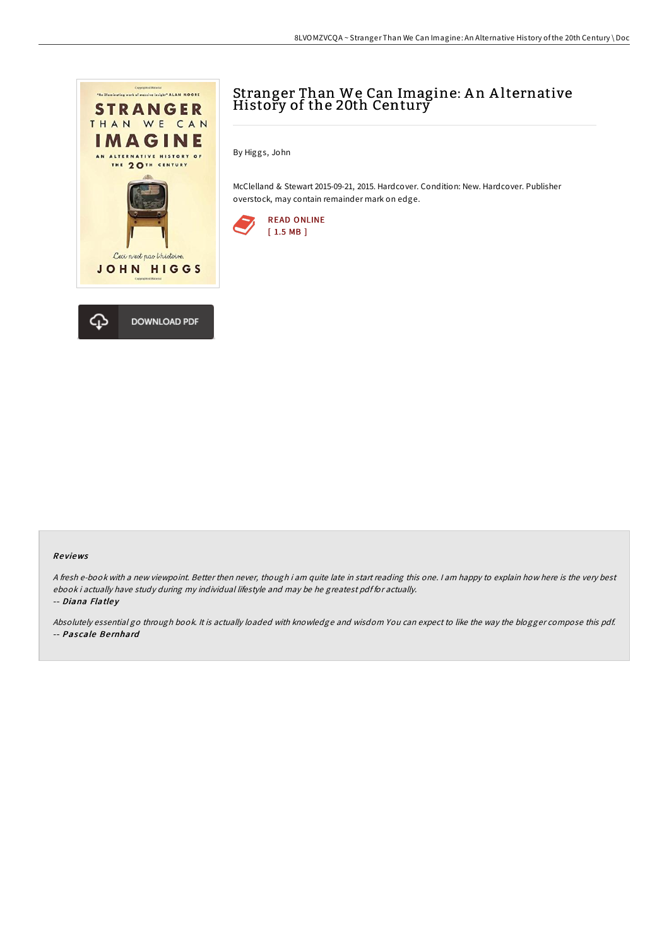



# Stranger Than We Can Imagine: An Alternative History of the 20th Century

By Higgs, John

McClelland & Stewart 2015-09-21, 2015. Hardcover. Condition: New. Hardcover. Publisher overstock, may contain remainder mark on edge.



#### Re views

<sup>A</sup> fresh e-book with <sup>a</sup> new viewpoint. Better then never, though i am quite late in start reading this one. <sup>I</sup> am happy to explain how here is the very best ebook i actually have study during my individual lifestyle and may be he greatest pdf for actually.

-- Diana Flatley

Absolutely essential go through book. It is actually loaded with knowledge and wisdom You can expect to like the way the blogger compose this pdf. -- Pascale Bernhard